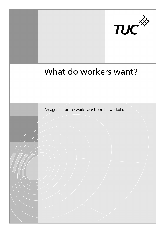

# What do workers want?

An agenda for the workplace from the workplace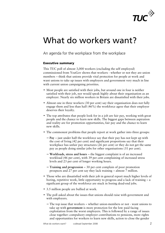

## What do workers want?

An agenda for the workplace from the workplace

#### Executive summary

This TUC poll of almost 3 3,000 workers (excluding the self employed) commissioned from YouGo YouGov shows that workers - whether or not they are union members – think that unions provide vital protection for people at work and want unions to take up issues with employers and government very much in line with current union campaigning priorities. 3,000 workers (excluding the self employed)<br>
2000 sohows that workers - whether or not they are union<br>
2000 shows that workers - whether or not they are union<br>
2010s provide vital protection for people at work and<br>
2010s w

- Most people are satisfied with their jobs, but around one in four is neither satisfied with their job, nor would speak highly about their organisation as an employer. Nearly six million workers in Britain are dissatisfied with their jobs. • Most people are satisfied with their jobs, but around one in four is neither satisfied with their job, nor would speak highly about their organisation as an employer. Nearly six million workers in Britain are dissatisfie
- engage them and less than half (46%) the workforce agree that their employer deserves their loyalty.
- The top attributes that people look for in a job are fair pay, working with great people and the chance to learn new skills. The biggest gaps between aspiration and reality are for promotion opportunities, fair pay and the chance to learn new skills.
- The commonest problems that people report at work gather into three groups:
	- − Pay just under half the workforce say that their pay has not kept up with the cost of living (42 per cent) and significant proportions say that their workplace has unfair pay structures (26 per cent) or they do not get the same pay as people doing similar jobs for other organisations (31 per cent).
	- − **Workloads, stress and hours** the biggest complaint is of an increased workload (46 per cent), with 39 per cent complaining of increased stress levels and 23 per cent of longer working hours.
	- − **Training and progression** − 30 per cent complain of poor promotion prospects and 27 per cent say they lack training – almost 7 million.
- Those who are dissatisfied with their job in general report much higher levels of boring, repetitive work, little opportunity to progress and a lack of training  $- a$ significant group of the workforce are stuck in boring dead-end jobs.
- 3.5 million people are bullied at work.
- The poll asked about the issues that unions should raise with government and with employers.
	- − The top issue that workers whether union-members or not want unions to take up with **government** is more protection for the low paid facing exploitation from the worst employers. This is followed by a range of issues close together: compulsory employer contributions to pensions, more rights and opportunities for workers to learn new skills, action to close the gender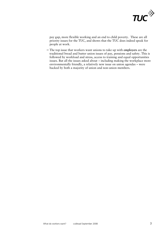

pay gap, more flexible working and an end to child poverty. These are all priority issues for the TUC, and shows that the TUC does indeed speak for people at work.

− The top issue that workers want unions to take up with employers are the tradition traditional bread and butter union issues of pay, pensions and safety. This is followed by workload and stress, access to training and equal opportunities issues. But all the issues asked about – including making the workplace more environmentally friendly, a relatively new issue on union agendas – were backed by both a majority of union and non-union members.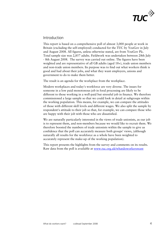

### Introduction

This report is based on a comprehensive poll of almost 3,000 people at work in Britain (excluding the self-employed) conducted for the TUC by YouGov in July and August 2008. All figures, unless otherwise stated, are from YouGov Plc. Total sample size was 2,857 adults. Fieldwork was undertaken between 28th July - 8th August 2008. The survey w was carried out online. The figures have been weighted and are representative of all GB adults (aged 18+), trade union members and non-trade union members. Its purpose was to find out what workers think is good and bad about their jobs, and what they want e employers, unions and government to do to make them better. employed) conducted for the TUC by YouGov in<br>res, unless otherwise stated, are from YouGov Pl<br>17 adults. Fieldwork was undertaken between 28<br>urvey was carried out online. The figures have be<br>tative of all GB adults (aged 1

The result is an agenda for the workplace from the workplace.

Modern workplaces and today's workforce are very diverse. The issues for someone in a low paid monotonous job in food processing are likely to be different to those working in a well-paid but stressful job in finance. We therefore commissioned a large sample so that we could look in detail at subgroups within the working population. This means, for example, we can compare the attitudes of those with different skill levels and different wages. We also split the sample by respondent's attitude to their job so that, for example, we can compare those who are happy with their job with those who are dissatisfied.

We are naturally particularly interested in the views of trade unionists, as our job is to represent them, and non-members because we would like to recruit them. We therefore boosted the numbers of trade unionists within the sample to give us is to represent them, and non-members because we would like to recruit them.<br>therefore boosted the numbers of trade unionists within the sample to give us<br>confidence that the poll can accurately measure both groups' views, naturally all results for the workforce as a whole have been weighted to accurately represent the make-up of the working population).

This report presents the highlights from the survey and comments on its results. Raw data from the poll is available at <u>www.tuc.org.uk/whatdoworkerswant</u>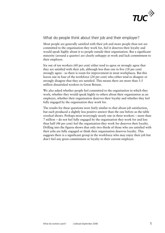

## What do people think about their job and their employer?

Most people are generally satisfied with their job and more people than not a are committed to the organisation they work for, feel it deserves their loyalty and would speak highly about it to people outside their organisation. But a significant minority (around a quarter) are clearly unhappy at work and lack commitment to their employer.

Six out of ten workers (60 per cent) either tend to agree or strongly agree that they are satisfied with their job, although less than one in five (18 per cent) strongly agree - so there is room for improvement in most workplaces. But this leaves one in four of the workforce (24 per cent) who either tend to disagree or strongly disagree that they are satisfied. This means there are more than 5.5 million dissatisfied workers in Great Britain. oyer.<br>ten workers (60 per cent) either tend to agree or strongly agree that<br>ttisfied with their job, although less than one in five (18 per cent)<br>gree - so there is room for improvement in most workplaces. But this

We also asked whether people feel committed to the organisation in which they work, whether they would speak highly to others about their organisation as an employer, whether their organisation deserves their loyalty and whether they feel fully engaged by the organisation they work for.

The results for these questions were fairly similar to that about job satisfaction, but each produced a slightly less positive answer than the one before as the table The results for these questions were fairly similar to that about job satisfaction,<br>but each produced a slightly less positive answer than the one before as the table<br>overleaf shows. Perhaps most worryingly nearly one in t 7 million – do not feel fully engaged by the organisation they work for and less than half (46 per cent) feel the organisation they work for deserves their loyalty. Drilling into the figures shows that only two thirds of those who are satisfied with their jobs are fully engaged or think their organisation deserves loyalty. This suggests there is a significant group in the workforce who may enjoy their job but don't feel any great commitment or loyalty to their current employer. d by th<br>unisatic<br>only tv<br>k their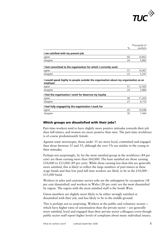

|                                                                                                 | $\%$ | Thousands of<br>workers |
|-------------------------------------------------------------------------------------------------|------|-------------------------|
| I am satisfied with my present job                                                              |      |                         |
| agree                                                                                           | 60   | 14,852                  |
| disagree                                                                                        | 24   | 5,882                   |
| I feel committed to the organisation for which I currently work                                 |      |                         |
| agree                                                                                           | 57   | 14,067                  |
| disagree                                                                                        | 22   | 5,347                   |
| I would speak highly to people outside the organisation about my organisation as an<br>employer |      |                         |
| agree                                                                                           | 51   | 12,565                  |
| disagree                                                                                        | 24   | 5,884                   |
| I feel the organisation I work for deserves my loyalty                                          |      |                         |
| agree                                                                                           | 46   | 11,424                  |
| disagree                                                                                        | 27   | 6,710                   |
| I feel fully engaged by the organisation I work for                                             |      |                         |
| agree                                                                                           | 43   | 10,648                  |
| disagree                                                                                        | 30   | 7,444                   |

#### Which groups are dissatisfied with their jobs?

Part-time worke time workers tend to have slightly more positive attitudes towards their job Part-time workers tend to have slightly more positive attitudes towards their job<br>than full-timers, and women are more positive than men. The part-time workforce is of course predominantly female.

Against some stereotypes, those under 35 are more loyal, committed and engaged than those between 35 and 55, although the over 55s are similar to the young in their attitudes.

Perhaps not surprisingly, by far the most satisfied group in the workforce (84 per cent) are those earning more than  $£60,000$ . The least satisfied are those earning £10,000 to £15,000 (49 per cent). While those earning less than this are generally more satisfied, this is likely to reflect the large numbers of part-timers in these wage bands and that low paid full time workers are likely to be in the  $\pounds 10,000$  -£15,000 band.

Workers in sales and customer service jobs are the unhappiest by occupation (38) per cent dissatisfied) and workers in Wales (28 per cent) are the most dissatisfied by region. The region with the most satisfied staff is the South West.

Union members are slightly more likely to be either strongly satisfied or dissatisfied with their job, and less likely to be in the middle ground.

This is perhaps not so surprising. Workers in the public and voluntary sectors – which have higher rates of unionisation than the private sector – are generally more satisfied, loyal and engaged than their private sector colleagues (even though public sector staff report higher levels of complaint about many individual issues). on members are slightly more likely to be either strongly sat<br>atisfied with their job, and less likely to be in the middle gro<br>s is perhaps not so surprising. Workers in the public and vol<br>ch have higher rates of unionisat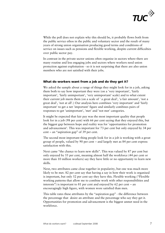

While the poll does not explain why this should be, it probably flows both from the public service ethos in the public and voluntary sector and the result of many years of strong union organisation producing good terms and conditions of service on issues such as pensions and flexible working, despite current difficulties over public sector pay. service on issues such as pensions and flexible working, despite current difficultio<br>over public sector pay.<br>In contrast in the private sector unions often organise in sectors where there are

many routine and less engaging jobs and sectors where workers need union protection against exploitation - so it is not surprising that there are also union members who are not satisfied with their jobs.

#### What do workers want from a job and do they get it?

We asked the sample about a range of things they might look for in a job, asking them both to say how important they were (on a 'very important', 'fairly important', 'fairly unimportant', 'very unimportant' scale) and to what extent their current job meets them (on a scale of ' a great deal', 'a fair amount', 'not a great deal', 'not at all'.) Our analysis here combines 'very important' and 'fairly important' to get a net 'important' figure and similarly combines pairs of responses to get 'unimportant', 'met' and 'not met' categories. t surprising that there are also union<br>obs.<br> **and do they get it?**<br>
ggs they might look for in a job, asking<br>
(on a 'very important', 'fairly<br>
mportant' scale) and to what extent<br>
' a great deal', 'a fair amount', 'not a<br>

It might be expected that fair pay was the most important quality that people look for in a job (98 per cent) with 66 per cent saying that they enjoyed this, but the biggest gap between hope and reality was for 'opportunities for promotion and advancement'. This was important for 73 per cent but only enjoyed by 34 per cent  $-$  an "aspiration gap" of 39 per cent. or in a job (98 per cent) with 66 per<br>ggest gap between hope and reality v<br>dvancement'. This was important for<br>an "aspiration gap" of 39 per cent.

The second most important thing people look for in a job is working with a great group of people, valued by 90 per cent – and largely met as 84 per cent express satisfaction with this.

Next came "the chance to learn new skills". This was valued by 87 per cent but only enjoyed by 55 per cent, meaning almost half the workforce (44 per cent or more than 10 million workers) say they have little or no opportunity to learn new skills.

Next, two attributes came close together in popularity, but one was much more likely to be met. 82 per cent say that having a say in how their work is organised is important, but only 52 per cent say they have this. Flexible working ("Flexible working patterns that allow me to combine work with other responsibilities and interests") is important to 81 per cent and enjoyed by 62 per cent – an encouragingly high figure, with women wore satisfied than men. interests") is important to 81 per cent and enjoyed by 62 per cent – an<br>encouragingly high figure, with women wore satisfied than men.<br>This table rates these attributes by the "aspiration gap" - the difference between

the percentage that desire an attribute and the percentage who say they get it. Opportunities for promotion and advancement is the biggest unmet need in the workforce.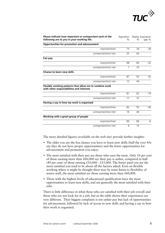

| Please indicate how important or unimportant each of the<br>following are to you in your working life. | Aspiration<br>$\%$ | $\%$ | Reality Aspiration<br>gap % |
|--------------------------------------------------------------------------------------------------------|--------------------|------|-----------------------------|
| Opportunities for promotion and advancement                                                            |                    |      |                             |
| important/met                                                                                          | 73                 | 34   | $-39$                       |
| unimportant/not met                                                                                    | 25                 | 64   |                             |
| Fair pay                                                                                               |                    |      |                             |
| important/met                                                                                          | 98                 | 66   | $-32$                       |
| unimportant/not met                                                                                    | 1                  | 33   |                             |
| <b>Chance to learn new skills</b>                                                                      |                    |      |                             |
| important/met                                                                                          | 87                 | 55   | $-32$                       |
| unimportant/not met                                                                                    | 12                 | 44   |                             |
| Flexible working patterns that allow me to combine work<br>with other responsibilities and interests   |                    |      |                             |
| important/met                                                                                          | 81                 | 62   | $-19$                       |
| unimportant/not met                                                                                    | 17                 | 37   |                             |
| Having a say in how my work is organised                                                               |                    |      |                             |
| important/met                                                                                          | 82                 | 52   | $-30$                       |
| unimportant/not met                                                                                    | 16                 | 46   |                             |
| Working with a great group of people                                                                   |                    |      |                             |
| important/met                                                                                          | 90                 | 84   | -6                          |
| unimportant/not met                                                                                    | 9                  | 15   |                             |

The more detailed figures (available on the web site) provide further insights:

- The older you are the less chance you have to learn new skills (half the over 45s) say they do not have proper opportunities) and the fewer opportunities for advancement and promotion you enjoy.
- The most satisfied with their pay are those who earn the most. Only 10 per cent of those earning more than  $£60,000$  say their pay is unfair, compared to half (49 per cent) of those earning  $£10,000 - £15,000$ . The better paid you are the more satisfied you tend to be about all the factors asked. Even on flexible working where it might be thought there may be some limits to flexibility of senior staff, the most satisfied are those earning more than £60,000. r pay is unfair, compared to half<br>,000. The better paid you are the<br>actors asked. Even on flexible<br>y be some limits to flexibility of
- Those with the highest levels of educational qualification have the most opportunities to learn new skills, and are generally the most satisfied with their jobs.

There is little difference in what those who are satisfied with their job overall and those who are not look for in a job, but as the table shows their experiences are very different. Their biggest complaint is not unfair pay but lack of opportunities for advancement, followed by lack of access to new skills and having a say in how their work is organised.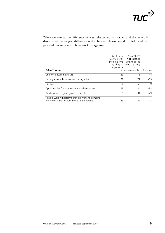

When we look at the difference between the generally satisfied and the generally dissatisfied, the biggest difference is the chance to learn new skills, followed by pay and having a say in how work is organised.

| Job attribute                                                                                        | not experience | % of those % of those<br>satisfied with <b>not</b> satisfied<br>their job who with their job<br>say they do who say they<br>do not<br>this experience this difference |       |
|------------------------------------------------------------------------------------------------------|----------------|-----------------------------------------------------------------------------------------------------------------------------------------------------------------------|-------|
| Chance to learn new skills                                                                           | 29             | 73                                                                                                                                                                    | -44   |
| Having a say in how my work is organised                                                             | 32             | 72                                                                                                                                                                    | $-39$ |
| Fair pay                                                                                             | 20             | 59                                                                                                                                                                    | $-39$ |
| Opportunities for promotion and advancement                                                          | 53             | 86                                                                                                                                                                    | $-33$ |
| Working with a great group of people                                                                 | 5              | 34                                                                                                                                                                    | $-29$ |
| Flexible working patterns that allow me to combine<br>work with other responsibilities and interests | 29             | 52                                                                                                                                                                    | -23   |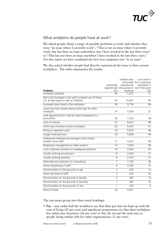

## What problems do people have at work?

We asked people about a range of possible problems at work and whether they were "an issue where I currently work", "This is not an issue where I currently were "an issue where I currently work", "This is not an issue where I currently<br>work, but has been an issue somewhere else I have worked in the last three years" or "This has not been an issue anywhere I have worked in the last three years." For this report we have combined the first two categories into "is an issue".

We also asked whether people had directly experienced the issue in their current workplace. The table summarises the results.

|                                                                                                                                       |                | number who  | is an issue in                             |
|---------------------------------------------------------------------------------------------------------------------------------------|----------------|-------------|--------------------------------------------|
|                                                                                                                                       |                |             | personally this or previous                |
|                                                                                                                                       | personally     | experienced | workplace in                               |
|                                                                                                                                       |                |             | experienced (thousands of last three years |
| Problem                                                                                                                               | $(\%)$<br>46   | workers)    | (%)<br>71                                  |
| Increased workload                                                                                                                    |                | 11,412      |                                            |
| Pay is not increased in line with increased cost of living<br>(i.e. at least equal to rate of inflation)                              | 42             | 10,401      | 63                                         |
| Increased stress levels in the workplace                                                                                              | 39             | 9,778       | 69                                         |
| Lower pay than people doing similar jobs for other<br>employers                                                                       | 31             | 7,629       | 51                                         |
| Little opportunity for internal career progression (i.e.<br>promotion)                                                                | 30             | 7,325       | 58                                         |
| Lack of training                                                                                                                      | 27             | 6,623       | 48                                         |
| Unfair pay structures at your workplace                                                                                               | 26             | 6,425       | 51                                         |
| Boring or repetitive work                                                                                                             | 24             | 5,919       | 48                                         |
| Longer working hours                                                                                                                  | 23             | 5,696       | 48                                         |
| Preferential treatment by managers that unfairly<br>benefits some staff                                                               | 21             | 5,252       | 49                                         |
| Bullying by management or other workers                                                                                               | 14             | 3,500       | 40                                         |
| Cuts in pension provision or inadequate pensions                                                                                      | 10             | 2,563       | $\overline{25}$                            |
| Unsafe working environment                                                                                                            | 10             | 2,434       | 21                                         |
| Unsafe working practices                                                                                                              | 8              | 2,010       | 21                                         |
| Redundancies (voluntary or compulsory)                                                                                                | $\overline{7}$ | 1,740       | 38                                         |
| Unfair disciplining of staff                                                                                                          | 6              | 1,559       | 15                                         |
| Discrimination on the grounds of age                                                                                                  | 3              | 640         | 14                                         |
| Unfair dismissal of staff                                                                                                             | $\overline{2}$ | 610         | 20                                         |
| Discrimination on the grounds of gender                                                                                               | $\overline{2}$ | 585         | 15                                         |
| Discrimination on the grounds of sexuality                                                                                            | 1              | 342         | 10                                         |
| Discrimination on the grounds of race                                                                                                 | 1              | 226         | 9                                          |
| None of these                                                                                                                         | 20             | 5,007       |                                            |
| The top issues group into three main headings:<br>• Pay $-$ just under half the workforce say that their pay has not kept up with the |                |             |                                            |
| cost of living (42 per cent) and significant proportions say that their workplace                                                     |                |             |                                            |

• Pay – just under half the workforce say that their pay has not kept up with the cost of living (42 per cent) and significant proportions say that their workplace has unfair pay structures (26 per cent) or they do not get the same pay as people doing similar jobs for other organisations (31 per cent).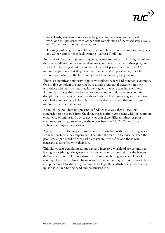

- Workloads, stress and hours the biggest complaint is of an increased workload (46 per cent), with 39 per cent complaining of increased stress levels and 23 per cent of longer working hours.
- Training and progression 30 per cent complain of poor promotion prospects and 27 per cent say they lack training – almost 7 million.

and 27 per cent say they lack training – almost 7 million.<br>But some of the other figures also give real cause for concern. It is highly unlikely that there will ever come a time when everybody is satisfied with their pay, but any level of bullying should be intolerable, yet  $14$  per cent – more than  $3.5$ million people - say that they have been bullied and 40 per cent say they have worked somewhere in the last three years where bullying has gone on.

There is a significant minority of poor workplaces where bad practice is common. One in five complain of suffering from unfair preferential treatment in their workplace and half say that they know it goes on where they have worked. Around a fifth say they worked where they know of unfair sackings, unfair disciplinary treatment or poor health and safety. The f figures suggest that more than half a million people have been unfairly dismissed, and that more than 2 million work where it is unsafe.

Although the poll does not present its findings in a way that allows this conclusion to be drawn from the data, this is entirely consistent with the common experience of unions and advice agencies that these different kinds of poor treatment tend to go together, as the report from the TUC's Commission on Vulnerable Employment shows. ent or poor health and safety. The figures suggest that more<br>people have been unfairly dismissed, and that more than 2<br>e it is unsafe.<br>does not present its findings in a way that allows this<br>cawn from the data, this is ent

Again, it is worth looking at those who are dissatisfied with their job in general to see what problems they experience. The table shows the difference between the problems experienced by those who are generally satisfied and those who generally dissatisfied with their job.

This shows that complaints about pay and increased workload are common to both groups (though the generally dissatisfied complain more). But the bigge differences are on lack of opportunity to progress, boring work and lack of training. These are followed by increased stress, unfair pay within the workplace and preferential treatment by managers. Perhaps these attributes can be summed up as "stuck in a boring dead-end pressurised job."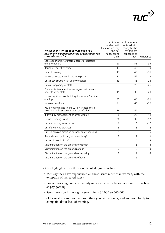

| Which, if any, of the following have you<br>personally experienced in the organisation you<br>currently work for. | satisfied with<br>their job who say<br>this has<br>happened to<br>them | % of those % of those not<br>satisfied with<br>their job who<br>say this has<br>happened to<br>them | difference |
|-------------------------------------------------------------------------------------------------------------------|------------------------------------------------------------------------|-----------------------------------------------------------------------------------------------------|------------|
| Little opportunity for internal career progression<br>(i.e. promotion)                                            | 20                                                                     | 53                                                                                                  | $-33$      |
| Boring or repetitive work                                                                                         | 13                                                                     | 46                                                                                                  | $-33$      |
| Lack of training                                                                                                  | 17                                                                     | 48                                                                                                  | $-31$      |
| Increased stress levels in the workplace                                                                          | 31                                                                     | 59                                                                                                  | $-28$      |
| Unfair pay structures at your workplace                                                                           | 19                                                                     | 45                                                                                                  | $-26$      |
| Unfair disciplining of staff                                                                                      | $\overline{3}$                                                         | 29                                                                                                  | $-26$      |
| Preferential treatment by managers that unfairly<br>benefits some staff                                           | 15                                                                     | 38                                                                                                  | $-23$      |
| Lower pay than people doing similar jobs for other<br>employers                                                   | 25                                                                     | 46                                                                                                  | $-21$      |
| Increased workload                                                                                                | 41                                                                     | 60                                                                                                  | $-20$      |
| Pay is not increased in line with increased cost of<br>living (i.e. at least equal to rate of inflation)          | 36                                                                     | 56                                                                                                  | $-20$      |
| Bullying by management or other workers                                                                           | 8                                                                      | 27                                                                                                  | $-18$      |
| Longer working hours                                                                                              | 20                                                                     | 32                                                                                                  | $-12$      |
| Unsafe working environment                                                                                        | 6                                                                      | 18                                                                                                  | $-12$      |
| Unsafe working practices                                                                                          | $\overline{5}$                                                         | 16                                                                                                  | $-12$      |
| Cuts in pension provision or inadequate pensions                                                                  | 9                                                                      | $\overline{15}$                                                                                     | $-6$       |
| Redundancies (voluntary or compulsory)                                                                            | $\overline{6}$                                                         | 11                                                                                                  | $-5$       |
| Unfair dismissal of staff                                                                                         | 1                                                                      | 6                                                                                                   | $-5$       |
| Discrimination on the grounds of gender                                                                           | 1                                                                      | $\overline{5}$                                                                                      | $-4$       |
| Discrimination on the grounds of age                                                                              | $\overline{2}$                                                         | 5                                                                                                   | $-3$       |
| Discrimination on the grounds of sexuality                                                                        | $\overline{0}$                                                         | $\overline{4}$                                                                                      | $-3$       |
| Discrimination on the grounds of race                                                                             | 1                                                                      | $\overline{2}$                                                                                      | $-1$       |

Other highlights from the more detailed figures include:

- Men say they have experienced all these issues more than women, with the exception of increased stress.
- Longer working hours is the only issue that clearly becomes more of a problem as pay goes up.
- Stress levels peak among those earning  $£30,000$  to  $£40,000$
- older workers are more stressed than younger workers, and are more likely to complain about lack of training.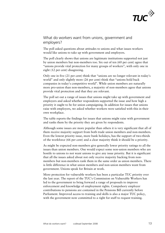

## What do workers want from unions, government and employers?

The poll asked questions about attitudes to unions and what issues workers would like unions to take up with government and employers.

The poll clearly shows that unions are legitimate institutions supported not just by union members but non-members too. Six out of ten (60 per cent) agree that by union members but non-members too. Six out of ten (60 per cent) agree that "unions provide vital protection for many groups of workers", with only one in eight (12 per cent) disagreeing.

Only one in five (21 per cent) think that "unions are no longer relevant in today's world" and only slightly more (26 per cent) think that "unions hold back companies in today's competitive world". While union members are naturally more pro-union than non-members, a majority of non-members agree that unions provide vital protection and that they are relevant. "unions are no longer relevant in today"<br>nt) think that "unions hold back<br>. While union members are naturally<br>ajority of non-members agree that union<br>relevant.<br>ions might take up with government and<br>ts supported the issue

The poll set out a range of issues that unions might take up with government and employers and asked whether respondents supported the issue and how high a priority it ought to be for union campaigning. In addition for issues that unions raise with employers, we asked whether workers were satisfied with this in their own workplace.

The table reports the findings for issues that unions might raise with government and ranks them by the priority they are given by respondents.

Although some issues are more popular than others it is very significant that all of them receive majority support from both trade union members and non-members. Even the lowest priority issue, more bank holidays, has the support of two-thirds of the workforce (66 per cent) and a clear majority think it should be a priority.

As might be expec expected non-members give generally lower priority ratings to all the issues than union members. One would expect some non-union members who are hostile to unions to not want unions to give any issue priority. But it is significant that all the issues asked about not only receive majority backing from non members but non-members rank them in the same order as union members. There is little difference in what union members and non-union members want from government. Unions speak for Britain at work. members give generally lower priority ratings to<br>i. One would expect some non-union members w<br>nt unions to give any issue priority. But it is sign<br>out not only receive majority backing from non-

More protecti protection for vulnerable workers has been a particular TUC priority over the last year. The report of the TUC's Commission on Vulnerable Workers has led to the government to bring forward a range of proposals to improve enforcement and knowledge of employment rights. Compulsory employer contributions to pensions are contained in the Pensions Bill currently before Parliament. Improved access to training and skills is also a major TUC policy, with the government now committed to a right for staff to request training. non-members rank them in the same order as union members.<br>nce in what union members and non-union members want fro<br>Jnions speak for Britain at work.<br>on for vulnerable workers has been a particular TUC priority<br>The report o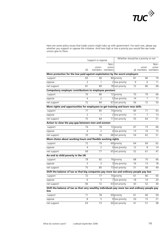

Here are some policy issues that trade unions might take up with government. For each one, please say whether you support or oppose the initiative. And how high or low a priority you would like see trade unions give to them.

|                                                                                                        | Support or oppose |                 | Whether should be a priority or not |                 |    |                |                     |
|--------------------------------------------------------------------------------------------------------|-------------------|-----------------|-------------------------------------|-----------------|----|----------------|---------------------|
|                                                                                                        |                   |                 | Non-                                |                 |    |                | Non-                |
|                                                                                                        |                   | union-          | union                               |                 |    | union          | union               |
|                                                                                                        | All               |                 | members members                     |                 |    |                | all members members |
| More protection for the low paid against exploitation by the worst employers                           |                   |                 |                                     |                 |    |                |                     |
| support                                                                                                | 83                | 90              |                                     | 80 priority     | 81 | 86             | 79                  |
| oppose                                                                                                 | $\overline{2}$    | 1               |                                     | 2 low priority  | 9  | 6              | 11                  |
| net support                                                                                            | 81                | 89              |                                     | 78 net priority | 72 | 80             | 68                  |
| Compulsory employer contributions to employee pensions                                                 |                   |                 |                                     |                 |    |                |                     |
| support                                                                                                | 76                | 86              |                                     | 72 priority     | 70 | 79             | 66                  |
| oppose                                                                                                 | 4                 | 2               |                                     | 5 low priority  | 14 | $\overline{7}$ | 17                  |
| net support                                                                                            | 72                | 84              |                                     | 67 net priority | 56 | 72             | 50                  |
| More rights and opportunities for employees to get training and learn new skills                       |                   |                 |                                     |                 |    |                |                     |
| support                                                                                                | 77                | 85              |                                     | 74 priority     | 66 | 71             | 63                  |
| oppose                                                                                                 | 2                 | 1               |                                     | 2 low priority  | 11 | 7              | 13                  |
| net support                                                                                            | $\overline{75}$   | 84              |                                     | 71 net priority | 55 | 64             | $\overline{51}$     |
| Action to close the pay-gap between men and women                                                      |                   |                 |                                     |                 |    |                |                     |
| support                                                                                                | 74                | 78              |                                     | 72 priority     | 67 | 73             | 66                  |
| oppose                                                                                                 | 4                 | 2               |                                     | 4 low priority  | 13 | 10             | 15                  |
| net support                                                                                            | 70                | 76              |                                     | 68 net priority | 54 | 62             | 51                  |
| More choice about working hours and flexible working rights                                            |                   |                 |                                     |                 |    |                |                     |
| support                                                                                                | 72                | 79              |                                     | 69 priority     | 64 | 69             | 62                  |
| oppose                                                                                                 | 4                 | $\overline{2}$  |                                     | 4 low priority  | 12 | 8              | 14                  |
| net support                                                                                            | 69                | 77              |                                     | 65 net priority | 52 | 61             | 47                  |
| An end to child poverty in the UK                                                                      |                   |                 |                                     |                 |    |                |                     |
| support                                                                                                | 78                | 82              |                                     | 76 priority     | 68 | 70             | 66                  |
| oppose                                                                                                 | 3                 | $\overline{3}$  |                                     | 3 low priority  | 16 | 13             | 18                  |
| net support                                                                                            | 75                | 80              |                                     | 73 net priority | 51 | 58             | 49                  |
| Shift the balance of tax so that big companies pay more tax and ordinary people pay less               |                   |                 |                                     |                 |    |                |                     |
| support                                                                                                | 72                | 77              |                                     | 70 priority     | 61 | 66             | 60                  |
| oppose                                                                                                 | 6                 | 5               |                                     | 7 low priority  | 18 | 14             | 20                  |
| net support                                                                                            | 66                | $\overline{72}$ |                                     | 63 net priority | 43 | 52             | 40                  |
| Shift the balance of tax so that very wealthy individuals pay more tax and ordinary people pay<br>less |                   |                 |                                     |                 |    |                |                     |
| support                                                                                                | $\overline{71}$   | 78              |                                     | 69 priority     | 61 | 66             | 59                  |
| oppose                                                                                                 | 8                 | 5               |                                     | 9 low priority  | 20 | 15             | 21                  |
| net support                                                                                            | 63                | 73              |                                     | 60 net priority | 41 | 51             | $\overline{38}$     |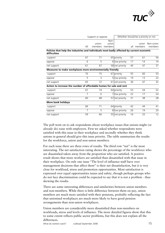

|                                                                                                           |     | Support or oppose |                          |                 | Whether should be a priority or not |                  |                      |
|-----------------------------------------------------------------------------------------------------------|-----|-------------------|--------------------------|-----------------|-------------------------------------|------------------|----------------------|
|                                                                                                           | All | union-<br>members | Non-<br>union<br>members |                 | all                                 | union<br>members | Non-union<br>members |
| Policies that help the industries and individuals most badly affected by current economic<br>difficulties |     |                   |                          |                 |                                     |                  |                      |
| support                                                                                                   | 67  | 71                |                          | 65 priority     | 57                                  | 61               | 56                   |
| oppose                                                                                                    | 6   | 5                 |                          | 6 low priority  | 17                                  | 14               | 19                   |
| net support                                                                                               | 61  | 67                |                          | 58 net priority | 40                                  | 47               | $\overline{37}$      |
| Measures to make workplaces more environmentally friendly                                                 |     |                   |                          |                 |                                     |                  |                      |
| support                                                                                                   | 70  | 75                |                          | 67 priority     | 55                                  | 60               | 53                   |
| oppose                                                                                                    | 5   | 3                 |                          | 5 low priority  | 19                                  | 13               | $\overline{22}$      |
| net support                                                                                               | 65  | 72                |                          | 61 net priority | 36                                  | 47               | 32                   |
| Action to increase the number of affordable homes for sale and rent                                       |     |                   |                          |                 |                                     |                  |                      |
| support                                                                                                   | 67  | 74                |                          | 64 priority     | 53                                  | 54               | 52                   |
| oppose                                                                                                    | 7   | 6                 |                          | 7 low priority  | 22                                  | 17               | 24                   |
| net support                                                                                               | 60  | 68                |                          | 57 net priority | 31                                  | 38               | 28                   |
| <b>More bank holidays</b>                                                                                 |     |                   |                          |                 |                                     |                  |                      |
| support                                                                                                   | 66  | 71                |                          | 64 priority     | 42                                  | 44               | 41                   |
| oppose                                                                                                    | 7   | 5                 |                          | 8 low priority  | 26                                  | 19               | 29                   |
| net support                                                                                               | 59  | 66                |                          | 55 net priority | 16                                  | 25               | 12                   |

The poll went on to ask respondents about workplace issues that unions might (or already do) raise with employers. First we asked whether respondents were satisfied with this issue in their workplace and secondly whether they think unions in general should give this issue priority. The table summarises the results for the workforce, union and non-union members.

For each issue there are three rows of results. The third row "net" is the most interesting. The net satisfaction rating shows the percentage of the workforce who are dissatisfied taken away from the proportion who are satisfied. A positive result shows that more workers are satisfied than dissatisfied with that issue in interesting. The net satisfaction rating shows the percentage of the workfo<br>are dissatisfied taken away from the proportion who are satisfied. A positi<br>result shows that more workers are satisfied than dissatisfied with th management decisions that affect them" is their net dissatisfaction, but it is very close for workload, stress and promotion opportunities. Most satisfaction is expressed over equal opportunities issues and safety, though perhaps groups who do not face discrimination could be expected to say that it is not a problem skewing the results. is their net dissatisfaction, but it is very<br>n opportunities. Most satisfaction is<br>s and safety, though perhaps groups who<br>ected to say that it is not a problem - thus

There are some interesting differences and similarities between union members and non-members. While there is little difference between them on pay, union members are much more satisfied with their pensions, probably reflecting the fact that unionised workplaces are much more likely to have good pension arrangements than non-union workplaces. non-members. While there is little diffe<br>bers are much more satisfied with thei<br>unionised workplaces are much more l<br>gements than non-union workplaces.

Union members are considerably more dissatisfied than non-members on workloads, stress and levels of influence. The more detailed figures show that this to some extent reflects public sector problems, but this does not explain all the differences.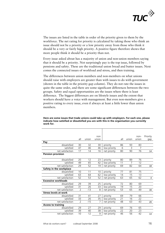

The issues are listed in the table in order of the priority given to them by the workforce. The net rating for priority is calculated by taking those who think an issue should not be a priority or a low priority away from those who think it should be a very or fairly high priority. A positive figure therefore shows that more people think it should be a priority than not.

Every issue asked about has a majority of union and non-union members saying that it should be a priority. Not surprisingly pay is the top issue, followed by pensions and safety. These are the traditional union bread and butter issues. Next comes the connected issues of workload and stress, and then training.

The differences between union members and non-members on what unions should raise with employers are greater than with issues to do with government (shown in the table in the priority gap column). They do not rate the issues in quite the same order, and there are some significant differences between the two groups. Safety and equal opportunities are the issues where there is least difference. The biggest differences are on lifestyle issues and the extent that workers should have a voice with management. But even non-members give a positive rating to every issue, even if always at least a little lower than union members. a majority of union and non-union members sayin<br>Not surprisingly pay is the top issue, followed by<br>re the traditional union bread and butter issues. N<br>of workload and stress, and then training.<br>on members and non-members o

|                              |                          |                 | non             |              |                 |                 | non-           | Priority       |
|------------------------------|--------------------------|-----------------|-----------------|--------------|-----------------|-----------------|----------------|----------------|
|                              | all                      | union           | union           |              | all             | union           | union          | gap            |
| Pay                          |                          |                 |                 |              |                 |                 |                |                |
| dissatisfied                 | 30                       | 32              | 30              | priority     | 86              | 93              | 83             |                |
| satisfied                    | 47                       | 46              | 46              | low priority | 6               | $\overline{3}$  | $\overline{7}$ |                |
| net satisfaction             | 17                       | 14              | 16              | net priority | $\overline{8}0$ | $\overline{9}0$ | 76             | 14             |
| <b>Pension provision</b>     |                          |                 |                 |              |                 |                 |                |                |
|                              |                          |                 |                 |              |                 |                 |                |                |
| dissatisfied                 | 20                       | 12              | 23              | priority     | 80              | 89              | 76             |                |
| satisfied                    | 49                       | 65              | 42              | low priority | 11              | 7               | 12             |                |
| net satisfaction             | 29                       | 52              | 19              | net priority | 69              | 82              | 64             | 18             |
| Safety in the workplace      |                          |                 |                 |              |                 |                 |                |                |
| dissatisfied                 | 10                       | 11              | 10              | priority     | 77              | 81              | 75             |                |
| satisfied                    | 63                       | 64              | 62              | low priority | 14              | 15              | 13             |                |
| net satisfaction             | 52                       | 53              | 52              | net priority | 63              | 65              | 62             | $\overline{4}$ |
| <b>Excessive workloads</b>   |                          |                 |                 |              |                 |                 |                |                |
| dissatisfied                 | 29                       | 39              | 25              | priority     | 72              | 80              | 69             |                |
| satisfied                    | 31                       | $\overline{26}$ | $\overline{33}$ | low priority | 19              | 15              | 20             |                |
| net satisfaction             | $\overline{2}$           | $-13$           | 8               | net priority | 53              | 65              | 49             | 16             |
| <b>Stress levels at work</b> |                          |                 |                 |              |                 |                 |                |                |
| dissatisfied                 | 31                       | 41              | 27              | priority     | 69              | 79              | 66             |                |
| satisfied                    | 33                       | 26              | 35              | low priority | 21              | 16              | 22             |                |
| net satisfaction             | $\overline{\phantom{0}}$ | $-15$           | $\overline{7}$  | net priority | 48              | 63              | 43             | 20             |
| <b>Access to training</b>    |                          |                 |                 |              |                 |                 |                |                |
| dissatisfied                 | 29                       | 27              | 29              | priority     | 69              | 76              | 65             |                |
| satisfied                    | 39                       | 40              | 38              | low priority | 22              | 20              | 23             |                |
| net satisfaction             | 10                       | 12              | 9               | net priority | 46              | 56              | 42             | 14             |

**Here are some issues that trade unions could take up with employers. For each one, please indicate how satisfied or dissatisfied you are with this in the organisation you currently work for.**